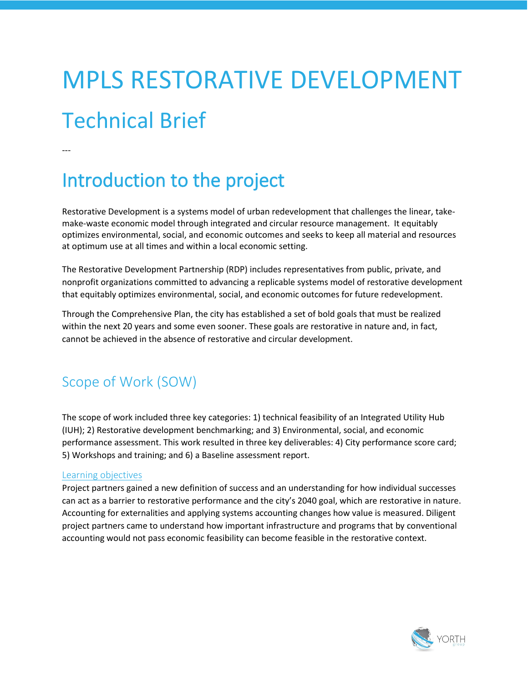# MPLS RESTORATIVE DEVELOPMENT Technical Brief

---

## Introduction to the project

Restorative Development is a systems model of urban redevelopment that challenges the linear, takemake-waste economic model through integrated and circular resource management. It equitably optimizes environmental, social, and economic outcomes and seeks to keep all material and resources at optimum use at all times and within a local economic setting.

The Restorative Development Partnership (RDP) includes representatives from public, private, and nonprofit organizations committed to advancing a replicable systems model of restorative development that equitably optimizes environmental, social, and economic outcomes for future redevelopment.

Through the Comprehensive Plan, the city has established a set of bold goals that must be realized within the next 20 years and some even sooner. These goals are restorative in nature and, in fact, cannot be achieved in the absence of restorative and circular development.

### Scope of Work (SOW)

The scope of work included three key categories: 1) technical feasibility of an Integrated Utility Hub (IUH); 2) Restorative development benchmarking; and 3) Environmental, social, and economic performance assessment. This work resulted in three key deliverables: 4) City performance score card; 5) Workshops and training; and 6) a Baseline assessment report.

#### Learning objectives

Project partners gained a new definition of success and an understanding for how individual successes can act as a barrier to restorative performance and the city's 2040 goal, which are restorative in nature. Accounting for externalities and applying systems accounting changes how value is measured. Diligent project partners came to understand how important infrastructure and programs that by conventional accounting would not pass economic feasibility can become feasible in the restorative context.

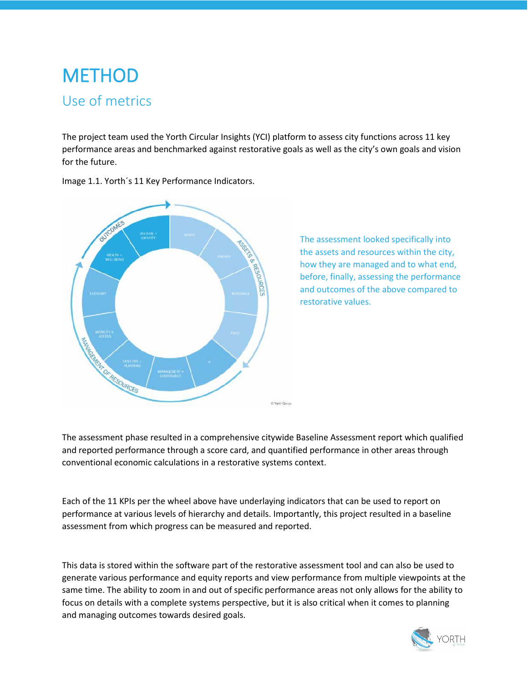## **METHOD** Use of metrics

The project team used the Yorth Circular Insights (YCI) platform to assess city functions across 11 key performance areas and benchmarked against restorative goals as well as the city's own goals and vision for the future.



Image 1.1. Yorth´s 11 Key Performance Indicators.

The assessment looked specifically into the assets and resources within the city, how they are managed and to what end, before, finally, assessing the performance and outcomes of the above compared to restorative values.

The assessment phase resulted in a comprehensive citywide Baseline Assessment report which qualified and reported performance through a score card, and quantified performance in other areas through conventional economic calculations in a restorative systems context.

Each of the 11 KPIs per the wheel above have underlaying indicators that can be used to report on performance at various levels of hierarchy and details. Importantly, this project resulted in a baseline assessment from which progress can be measured and reported.

This data is stored within the software part of the restorative assessment tool and can also be used to generate various performance and equity reports and view performance from multiple viewpoints at the same time. The ability to zoom in and out of specific performance areas not only allows for the ability to focus on details with a complete systems perspective, but it is also critical when it comes to planning and managing outcomes towards desired goals.

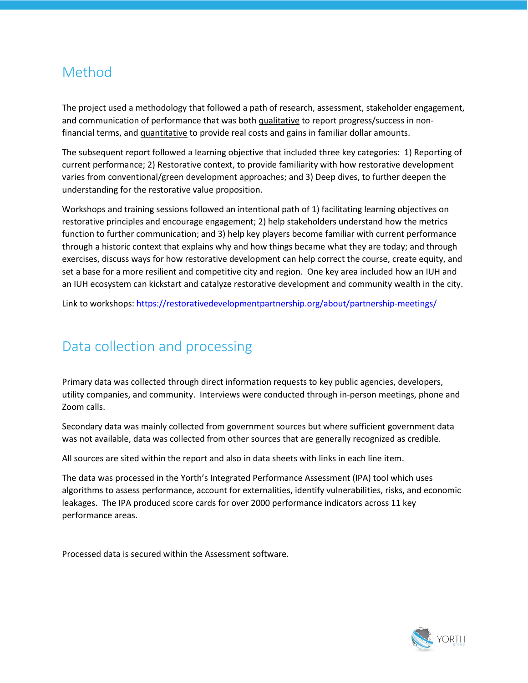### Method

The project used a methodology that followed a path of research, assessment, stakeholder engagement, and communication of performance that was both qualitative to report progress/success in nonfinancial terms, and quantitative to provide real costs and gains in familiar dollar amounts.

The subsequent report followed a learning objective that included three key categories: 1) Reporting of current performance; 2) Restorative context, to provide familiarity with how restorative development varies from conventional/green development approaches; and 3) Deep dives, to further deepen the understanding for the restorative value proposition.

Workshops and training sessions followed an intentional path of 1) facilitating learning objectives on restorative principles and encourage engagement; 2) help stakeholders understand how the metrics function to further communication; and 3) help key players become familiar with current performance through a historic context that explains why and how things became what they are today; and through exercises, discuss ways for how restorative development can help correct the course, create equity, and set a base for a more resilient and competitive city and region. One key area included how an IUH and an IUH ecosystem can kickstart and catalyze restorative development and community wealth in the city.

Link to workshops:<https://restorativedevelopmentpartnership.org/about/partnership-meetings/>

### Data collection and processing

Primary data was collected through direct information requests to key public agencies, developers, utility companies, and community. Interviews were conducted through in-person meetings, phone and Zoom calls.

Secondary data was mainly collected from government sources but where sufficient government data was not available, data was collected from other sources that are generally recognized as credible.

All sources are sited within the report and also in data sheets with links in each line item.

The data was processed in the Yorth's Integrated Performance Assessment (IPA) tool which uses algorithms to assess performance, account for externalities, identify vulnerabilities, risks, and economic leakages. The IPA produced score cards for over 2000 performance indicators across 11 key performance areas.

Processed data is secured within the Assessment software.

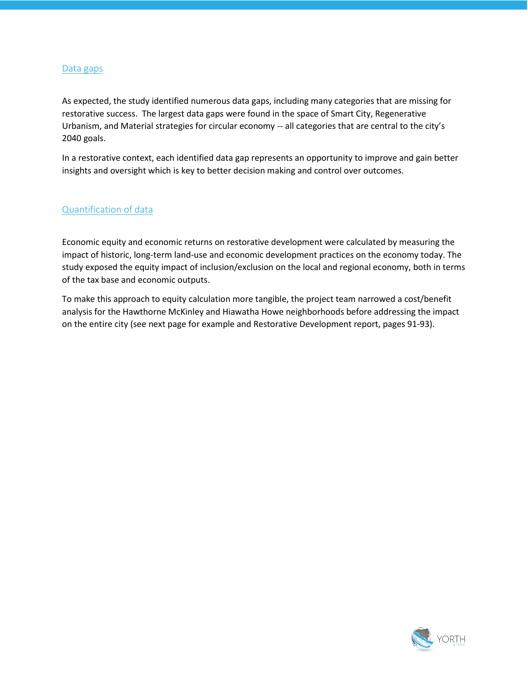#### Data gaps

As expected, the study identified numerous data gaps, including many categories that are missing for restorative success. The largest data gaps were found in the space of Smart City, Regenerative Urbanism, and Material strategies for circular economy -- all categories that are central to the city's 2040 goals.

In a restorative context, each identified data gap represents an opportunity to improve and gain better insights and oversight which is key to better decision making and control over outcomes.

#### Quantification of data

Economic equity and economic returns on restorative development were calculated by measuring the impact of historic, long-term land-use and economic development practices on the economy today. The study exposed the equity impact of inclusion/exclusion on the local and regional economy, both in terms of the tax base and economic outputs.

To make this approach to equity calculation more tangible, the project team narrowed a cost/benefit analysis for the Hawthorne McKinley and Hiawatha Howe neighborhoods before addressing the impact on the entire city (see next page for example and Restorative Development report, pages 91-93).

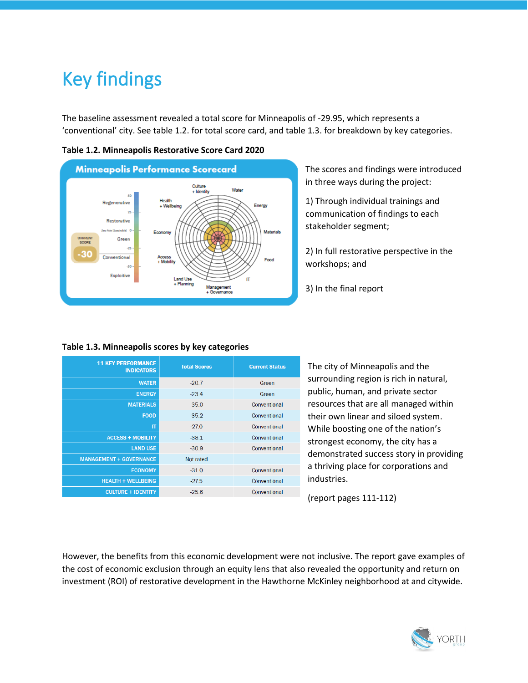## Key findings

The baseline assessment revealed a total score for Minneapolis of -29.95, which represents a 'conventional' city. See table 1.2. for total score card, and table 1.3. for breakdown by key categories.



**Table 1.2. Minneapolis Restorative Score Card 2020**

The scores and findings were introduced in three ways during the project:

1) Through individual trainings and communication of findings to each stakeholder segment;

2) In full restorative perspective in the workshops; and

3) In the final report

#### **Table 1.3. Minneapolis scores by key categories**

| <b>11 KEY PERFORMANCE</b><br><b>INDICATORS</b> | <b>Total Scores</b> | <b>Current Status</b> |
|------------------------------------------------|---------------------|-----------------------|
| <b>WATER</b>                                   | $-20.7$             | Green                 |
| <b>ENERGY</b>                                  | $-23.4$             | Green                 |
| <b>MATERIALS</b>                               | $-35.0$             | Conventional          |
| <b>FOOD</b>                                    | $-35.2$             | Conventional          |
| IT                                             | $-270$              | Conventional          |
| <b>ACCESS + MOBILITY</b>                       | $-381$              | Conventional          |
| <b>LAND USE</b>                                | $-30.9$             | Conventional          |
| <b>MANAGEMENT + GOVERNANCE</b>                 | Not rated           |                       |
| <b>ECONOMY</b>                                 | $-31.0$             | Conventional          |
| <b>HEALTH + WELLBEING</b>                      | $-27.5$             | Conventional          |
| <b>CULTURE + IDENTITY</b>                      | $-25.6$             | Conventional          |

The city of Minneapolis and the surrounding region is rich in natural, public, human, and private sector resources that are all managed within their own linear and siloed system. While boosting one of the nation's strongest economy, the city has a demonstrated success story in providing a thriving place for corporations and industries.

(report pages 111-112)

However, the benefits from this economic development were not inclusive. The report gave examples of the cost of economic exclusion through an equity lens that also revealed the opportunity and return on investment (ROI) of restorative development in the Hawthorne McKinley neighborhood at and citywide.

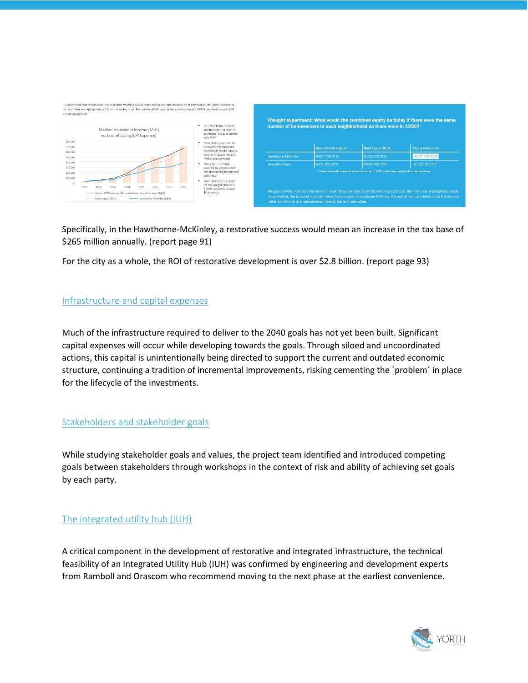

|                           | Hypothetical equity* | <b>Real Equity 2018</b>                                                                 | <b>Equity Gain/Loss</b> |
|---------------------------|----------------------|-----------------------------------------------------------------------------------------|-------------------------|
| <b>Hawthorne-McKinley</b> | \$307.766.275        | \$133,278,350                                                                           | \$(174, 487, 925)       |
| Hiawatha-Howe             | \$441.653.575        | \$556.780.750                                                                           | \$115.127.175           |
|                           |                      | * Figure is based on number of homes owned in 1950 and today's neighborhood home values |                         |

Specifically, in the Hawthorne-McKinley, a restorative success would mean an increase in the tax base of \$265 million annually. (report page 91)

For the city as a whole, the ROI of restorative development is over \$2.8 billion. (report page 93)

#### Infrastructure and capital expenses

Much of the infrastructure required to deliver to the 2040 goals has not yet been built. Significant capital expenses will occur while developing towards the goals. Through siloed and uncoordinated actions, this capital is unintentionally being directed to support the current and outdated economic structure, continuing a tradition of incremental improvements, risking cementing the ´problem´ in place for the lifecycle of the investments.

#### Stakeholders and stakeholder goals

While studying stakeholder goals and values, the project team identified and introduced competing goals between stakeholders through workshops in the context of risk and ability of achieving set goals by each party.

#### The integrated utility hub (IUH)

A critical component in the development of restorative and integrated infrastructure, the technical feasibility of an Integrated Utility Hub (IUH) was confirmed by engineering and development experts from Ramboll and Orascom who recommend moving to the next phase at the earliest convenience.

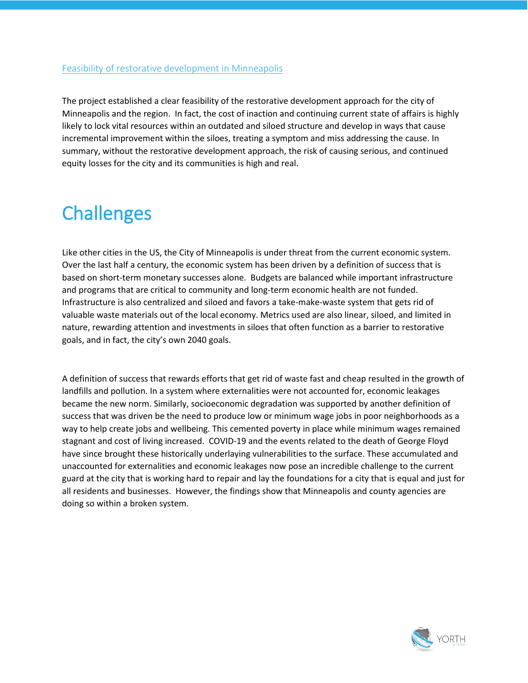#### Feasibility of restorative development in Minneapolis

The project established a clear feasibility of the restorative development approach for the city of Minneapolis and the region. In fact, the cost of inaction and continuing current state of affairs is highly likely to lock vital resources within an outdated and siloed structure and develop in ways that cause incremental improvement within the siloes, treating a symptom and miss addressing the cause. In summary, without the restorative development approach, the risk of causing serious, and continued equity losses for the city and its communities is high and real.

## **Challenges**

Like other cities in the US, the City of Minneapolis is under threat from the current economic system. Over the last half a century, the economic system has been driven by a definition of success that is based on short-term monetary successes alone. Budgets are balanced while important infrastructure and programs that are critical to community and long-term economic health are not funded. Infrastructure is also centralized and siloed and favors a take-make-waste system that gets rid of valuable waste materials out of the local economy. Metrics used are also linear, siloed, and limited in nature, rewarding attention and investments in siloes that often function as a barrier to restorative goals, and in fact, the city's own 2040 goals.

A definition of success that rewards efforts that get rid of waste fast and cheap resulted in the growth of landfills and pollution. In a system where externalities were not accounted for, economic leakages became the new norm. Similarly, socioeconomic degradation was supported by another definition of success that was driven be the need to produce low or minimum wage jobs in poor neighborhoods as a way to help create jobs and wellbeing. This cemented poverty in place while minimum wages remained stagnant and cost of living increased. COVID-19 and the events related to the death of George Floyd have since brought these historically underlaying vulnerabilities to the surface. These accumulated and unaccounted for externalities and economic leakages now pose an incredible challenge to the current guard at the city that is working hard to repair and lay the foundations for a city that is equal and just for all residents and businesses. However, the findings show that Minneapolis and county agencies are doing so within a broken system.

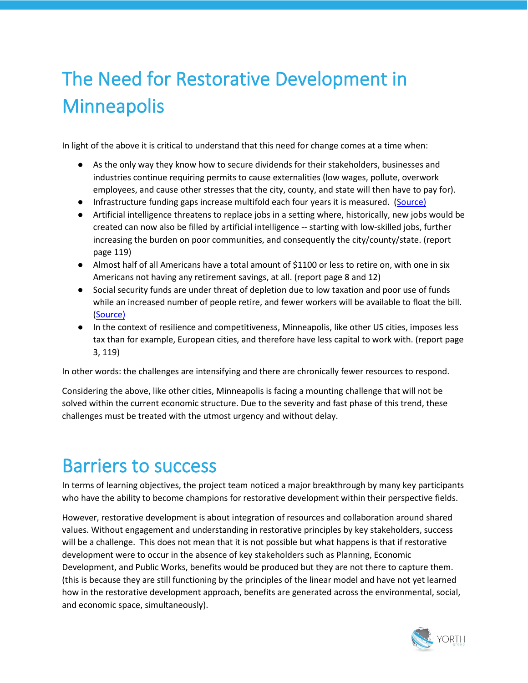## The Need for Restorative Development in **Minneapolis**

In light of the above it is critical to understand that this need for change comes at a time when:

- As the only way they know how to secure dividends for their stakeholders, businesses and industries continue requiring permits to cause externalities (low wages, pollute, overwork employees, and cause other stresses that the city, county, and state will then have to pay for).
- Infrastructure funding gaps increase multifold each four years it is measured. [\(Source\)](https://www.infrastructurereportcard.org/)
- Artificial intelligence threatens to replace jobs in a setting where, historically, new jobs would be created can now also be filled by artificial intelligence -- starting with low-skilled jobs, further increasing the burden on poor communities, and consequently the city/county/state. (report page 119)
- Almost half of all Americans have a total amount of \$1100 or less to retire on, with one in six Americans not having any retirement savings, at all. (report page 8 and 12)
- Social security funds are under threat of depletion due to low taxation and poor use of funds while an increased number of people retire, and fewer workers will be available to float the bill. [\(Source\)](https://www.ssa.gov/policy/docs/ssb/v70n3/v70n3p111.html)
- In the context of resilience and competitiveness, Minneapolis, like other US cities, imposes less tax than for example, European cities, and therefore have less capital to work with. (report page 3, 119)

In other words: the challenges are intensifying and there are chronically fewer resources to respond.

Considering the above, like other cities, Minneapolis is facing a mounting challenge that will not be solved within the current economic structure. Due to the severity and fast phase of this trend, these challenges must be treated with the utmost urgency and without delay.

## Barriers to success

In terms of learning objectives, the project team noticed a major breakthrough by many key participants who have the ability to become champions for restorative development within their perspective fields.

However, restorative development is about integration of resources and collaboration around shared values. Without engagement and understanding in restorative principles by key stakeholders, success will be a challenge. This does not mean that it is not possible but what happens is that if restorative development were to occur in the absence of key stakeholders such as Planning, Economic Development, and Public Works, benefits would be produced but they are not there to capture them. (this is because they are still functioning by the principles of the linear model and have not yet learned how in the restorative development approach, benefits are generated across the environmental, social, and economic space, simultaneously).

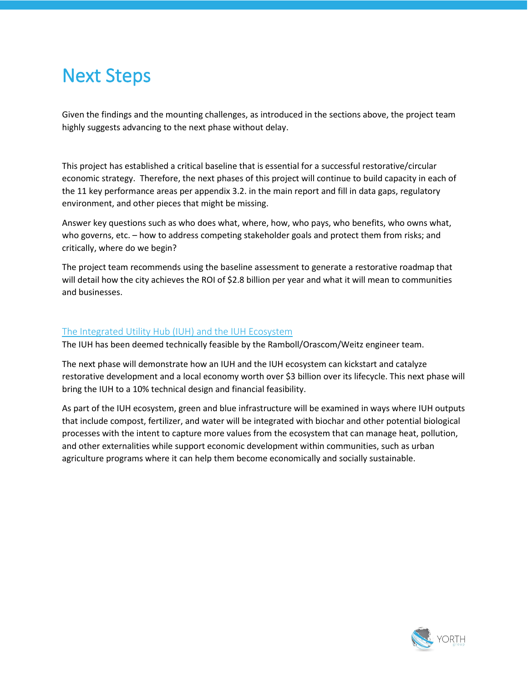### Next Steps

Given the findings and the mounting challenges, as introduced in the sections above, the project team highly suggests advancing to the next phase without delay.

This project has established a critical baseline that is essential for a successful restorative/circular economic strategy. Therefore, the next phases of this project will continue to build capacity in each of the 11 key performance areas per appendix 3.2. in the main report and fill in data gaps, regulatory environment, and other pieces that might be missing.

Answer key questions such as who does what, where, how, who pays, who benefits, who owns what, who governs, etc. – how to address competing stakeholder goals and protect them from risks; and critically, where do we begin?

The project team recommends using the baseline assessment to generate a restorative roadmap that will detail how the city achieves the ROI of \$2.8 billion per year and what it will mean to communities and businesses.

#### The Integrated Utility Hub (IUH) and the IUH Ecosystem

The IUH has been deemed technically feasible by the Ramboll/Orascom/Weitz engineer team.

The next phase will demonstrate how an IUH and the IUH ecosystem can kickstart and catalyze restorative development and a local economy worth over \$3 billion over its lifecycle. This next phase will bring the IUH to a 10% technical design and financial feasibility.

As part of the IUH ecosystem, green and blue infrastructure will be examined in ways where IUH outputs that include compost, fertilizer, and water will be integrated with biochar and other potential biological processes with the intent to capture more values from the ecosystem that can manage heat, pollution, and other externalities while support economic development within communities, such as urban agriculture programs where it can help them become economically and socially sustainable.

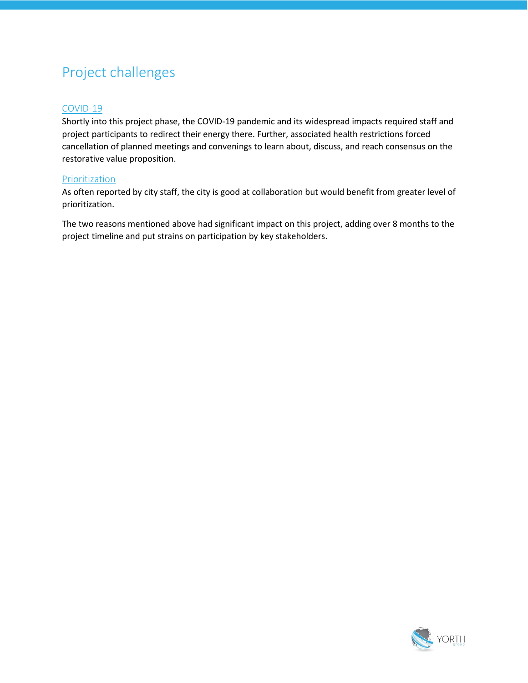### Project challenges

#### COVID-19

Shortly into this project phase, the COVID-19 pandemic and its widespread impacts required staff and project participants to redirect their energy there. Further, associated health restrictions forced cancellation of planned meetings and convenings to learn about, discuss, and reach consensus on the restorative value proposition.

#### **Prioritization**

As often reported by city staff, the city is good at collaboration but would benefit from greater level of prioritization.

The two reasons mentioned above had significant impact on this project, adding over 8 months to the project timeline and put strains on participation by key stakeholders.

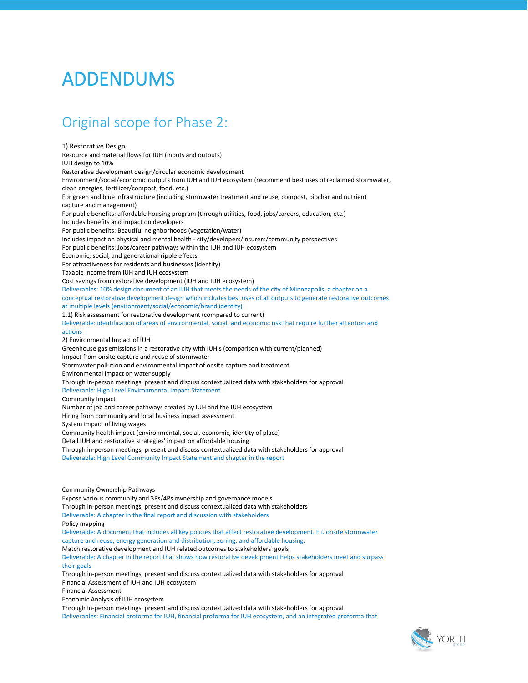## ADDENDUMS

### Original scope for Phase 2:

1) Restorative Design Resource and material flows for IUH (inputs and outputs) IUH design to 10% Restorative development design/circular economic development Environment/social/economic outputs from IUH and IUH ecosystem (recommend best uses of reclaimed stormwater, clean energies, fertilizer/compost, food, etc.) For green and blue infrastructure (including stormwater treatment and reuse, compost, biochar and nutrient capture and management) For public benefits: affordable housing program (through utilities, food, jobs/careers, education, etc.) Includes benefits and impact on developers For public benefits: Beautiful neighborhoods (vegetation/water) Includes impact on physical and mental health - city/developers/insurers/community perspectives For public benefits: Jobs/career pathways within the IUH and IUH ecosystem Economic, social, and generational ripple effects For attractiveness for residents and businesses (identity) Taxable income from IUH and IUH ecosystem Cost savings from restorative development (IUH and IUH ecosystem) Deliverables: 10% design document of an IUH that meets the needs of the city of Minneapolis; a chapter on a conceptual restorative development design which includes best uses of all outputs to generate restorative outcomes at multiple levels (environment/social/economic/brand identity) 1.1) Risk assessment for restorative development (compared to current) Deliverable: identification of areas of environmental, social, and economic risk that require further attention and actions 2) Environmental Impact of IUH Greenhouse gas emissions in a restorative city with IUH's (comparison with current/planned) Impact from onsite capture and reuse of stormwater Stormwater pollution and environmental impact of onsite capture and treatment Environmental impact on water supply Through in-person meetings, present and discuss contextualized data with stakeholders for approval Deliverable: High Level Environmental Impact Statement Community Impact Number of job and career pathways created by IUH and the IUH ecosystem Hiring from community and local business impact assessment System impact of living wages Community health impact (environmental, social, economic, identity of place) Detail IUH and restorative strategies' impact on affordable housing Through in-person meetings, present and discuss contextualized data with stakeholders for approval Deliverable: High Level Community Impact Statement and chapter in the report Community Ownership Pathways Expose various community and 3Ps/4Ps ownership and governance models Through in-person meetings, present and discuss contextualized data with stakeholders Deliverable: A chapter in the final report and discussion with stakeholders Policy mapping Deliverable: A document that includes all key policies that affect restorative development. F.i. onsite stormwater capture and reuse, energy generation and distribution, zoning, and affordable housing. Match restorative development and IUH related outcomes to stakeholders' goals Deliverable: A chapter in the report that shows how restorative development helps stakeholders meet and surpass their goals Through in-person meetings, present and discuss contextualized data with stakeholders for approval Financial Assessment of IUH and IUH ecosystem Financial Assessment Economic Analysis of IUH ecosystem Through in-person meetings, present and discuss contextualized data with stakeholders for approval Deliverables: Financial proforma for IUH, financial proforma for IUH ecosystem, and an integrated proforma that